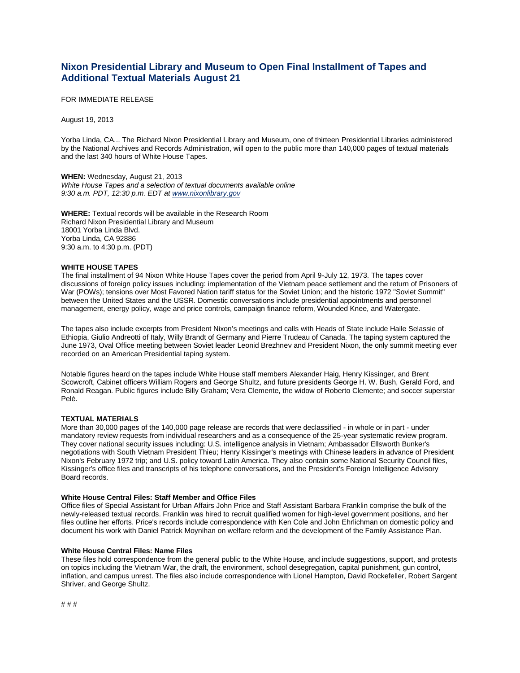# **Nixon Presidential Library and Museum to Open Final Installment of Tapes and Additional Textual Materials August 21**

FOR IMMEDIATE RELEASE

August 19, 2013

Yorba Linda, CA... The Richard Nixon Presidential Library and Museum, one of thirteen Presidential Libraries administered by the National Archives and Records Administration, will open to the public more than 140,000 pages of textual materials and the last 340 hours of White House Tapes.

**WHEN:** Wednesday, August 21, 2013 *White House Tapes and a selection of textual documents available online 9:30 a.m. PDT, 12:30 p.m. EDT at [www.nixonlibrary.gov](https://www.nixonlibrary.gov/index.php)*

**WHERE:** Textual records will be available in the Research Room Richard Nixon Presidential Library and Museum 18001 Yorba Linda Blvd. Yorba Linda, CA 92886 9:30 a.m. to 4:30 p.m. (PDT)

## **WHITE HOUSE TAPES**

The final installment of 94 Nixon White House Tapes cover the period from April 9-July 12, 1973. The tapes cover discussions of foreign policy issues including: implementation of the Vietnam peace settlement and the return of Prisoners of War (POWs); tensions over Most Favored Nation tariff status for the Soviet Union; and the historic 1972 "Soviet Summit" between the United States and the USSR. Domestic conversations include presidential appointments and personnel management, energy policy, wage and price controls, campaign finance reform, Wounded Knee, and Watergate.

The tapes also include excerpts from President Nixon's meetings and calls with Heads of State include Haile Selassie of Ethiopia, Giulio Andreotti of Italy, Willy Brandt of Germany and Pierre Trudeau of Canada. The taping system captured the June 1973, Oval Office meeting between Soviet leader Leonid Brezhnev and President Nixon, the only summit meeting ever recorded on an American Presidential taping system.

Notable figures heard on the tapes include White House staff members Alexander Haig, Henry Kissinger, and Brent Scowcroft, Cabinet officers William Rogers and George Shultz, and future presidents George H. W. Bush, Gerald Ford, and Ronald Reagan. Public figures include Billy Graham; Vera Clemente, the widow of Roberto Clemente; and soccer superstar Pelé.

# **TEXTUAL MATERIALS**

More than 30,000 pages of the 140,000 page release are records that were declassified - in whole or in part - under mandatory review requests from individual researchers and as a consequence of the 25-year systematic review program. They cover national security issues including: U.S. intelligence analysis in Vietnam; Ambassador Ellsworth Bunker's negotiations with South Vietnam President Thieu; Henry Kissinger's meetings with Chinese leaders in advance of President Nixon's February 1972 trip; and U.S. policy toward Latin America. They also contain some National Security Council files, Kissinger's office files and transcripts of his telephone conversations, and the President's Foreign Intelligence Advisory Board records.

#### **White House Central Files: Staff Member and Office Files**

Office files of Special Assistant for Urban Affairs John Price and Staff Assistant Barbara Franklin comprise the bulk of the newly-released textual records. Franklin was hired to recruit qualified women for high-level government positions, and her files outline her efforts. Price's records include correspondence with Ken Cole and John Ehrlichman on domestic policy and document his work with Daniel Patrick Moynihan on welfare reform and the development of the Family Assistance Plan.

## **White House Central Files: Name Files**

These files hold correspondence from the general public to the White House, and include suggestions, support, and protests on topics including the Vietnam War, the draft, the environment, school desegregation, capital punishment, gun control, inflation, and campus unrest. The files also include correspondence with Lionel Hampton, David Rockefeller, Robert Sargent Shriver, and George Shultz.